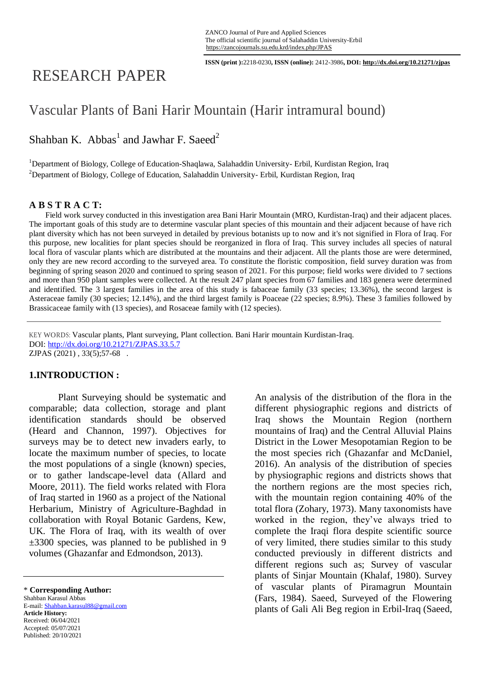**ISSN (print ):**2218-0230**, ISSN (online):** 2412-3986**, DOI: http://dx.doi.org/10.21271/zjpas**

# RESEARCH PAPER

## Vascular Plants of Bani Harir Mountain (Harir intramural bound)

Shahban K.  $Abbas<sup>1</sup>$  and Jawhar F. Saeed<sup>2</sup>

<sup>1</sup>Department of Biology, College of Education-Shaqlawa, Salahaddin University- Erbil, Kurdistan Region, Iraq <sup>2</sup>Department of Biology, College of Education, Salahaddin University- Erbil, Kurdistan Region, Iraq

#### **A B S T R A C T:**

 Field work survey conducted in this investigation area Bani Harir Mountain (MRO, Kurdistan-Iraq) and their adjacent places. The important goals of this study are to determine vascular plant species of this mountain and their adjacent because of have rich plant diversity which has not been surveyed in detailed by previous botanists up to now and it's not signified in Flora of Iraq. For this purpose, new localities for plant species should be reorganized in flora of Iraq. This survey includes all species of natural local flora of vascular plants which are distributed at the mountains and their adjacent. All the plants those are were determined, only they are new record according to the surveyed area. To constitute the floristic composition, field survey duration was from beginning of spring season 2020 and continued to spring season of 2021. For this purpose; field works were divided to 7 sections and more than 950 plant samples were collected. At the result 247 plant species from 67 families and 183 genera were determined and identified. The 3 largest families in the area of this study is fabaceae family (33 species; 13.36%), the second largest is Asteraceae family (30 species; 12.14%), and the third largest family is Poaceae (22 species; 8.9%). These 3 families followed by Brassicaceae family with (13 species), and Rosaceae family with (12 species).

KEY WORDS: Vascular plants, Plant surveying, Plant collection. Bani Harir mountain Kurdistan-Iraq. DOI:<http://dx.doi.org/10.21271/ZJPAS.33.5.7> ZJPAS (2021) , 33(5);57-68 .

#### **1.INTRODUCTION :**

Plant Surveying should be systematic and comparable; data collection, storage and plant identification standards should be observed (Heard and Channon, 1997). Objectives for surveys may be to detect new invaders early, to locate the maximum number of species, to locate the most populations of a single (known) species, or to gather landscape-level data (Allard and Moore, 2011). The field works related with Flora of Iraq started in 1960 as a project of the National Herbarium, Ministry of Agriculture-Baghdad in collaboration with Royal Botanic Gardens, Kew, UK. The Flora of Iraq, with its wealth of over ±3300 species, was planned to be published in 9 volumes (Ghazanfar and Edmondson, 2013).

*&&&&&&&&&&&&&&&&&&&&&&&&&&* Shahban Karasul Abbas E-mail: Shahban.karasul88@gmail.com **Article History:** Received: 06/04/2021 Accepted: 05/07/2021 Published: 20/10/2021

An analysis of the distribution of the flora in the different physiographic regions and districts of Iraq shows the Mountain Region (northern mountains of Iraq) and the Central Alluvial Plains District in the Lower Mesopotamian Region to be the most species rich (Ghazanfar and McDaniel, 2016). An analysis of the distribution of species by physiographic regions and districts shows that the northern regions are the most species rich, with the mountain region containing 40% of the total flora (Zohary, 1973). Many taxonomists have worked in the region, they've always tried to complete the Iraqi flora despite scientific source of very limited, there studies similar to this study conducted previously in different districts and different regions such as; Survey of vascular plants of Sinjar Mountain (Khalaf, 1980). Survey of vascular plants of Piramagrun Mountain (Fars, 1984). Saeed, Surveyed of the Flowering plants of Gali Ali Beg region in Erbil-Iraq (Saeed,

*<sup>&</sup>amp;&&&&&&&&&&&&&&&&&&&&&* \* **Corresponding Author:**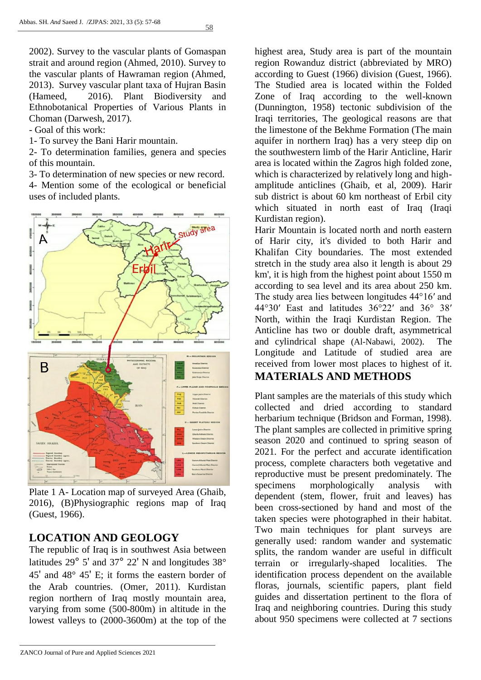58

2002). Survey to the vascular plants of Gomaspan strait and around region (Ahmed, 2010). Survey to the vascular plants of Hawraman region (Ahmed, 2013). Survey vascular plant taxa of Hujran Basin (Hameed, 2016). Plant Biodiversity and Ethnobotanical Properties of Various Plants in Choman (Darwesh, 2017)*.*

- Goal of this work:

1- To survey the Bani Harir mountain.

2- To determination families, genera and species of this mountain.

3- To determination of new species or new record.

4- Mention some of the ecological or beneficial uses of included plants.



Plate 1 A- Location map of surveyed Area (Ghaib, 2016), (B)Physiographic regions map of Iraq (Guest, 1966).

## **LOCATION AND GEOLOGY**

The republic of Iraq is in southwest Asia between latitudes 29° 5' and 37° 22' N and longitudes 38° 45' and 48° 45' E; it forms the eastern border of the Arab countries. (Omer, 2011). Kurdistan region northern of Iraq mostly mountain area, varying from some (500-800m) in altitude in the lowest valleys to (2000-3600m) at the top of the

highest area, Study area is part of the mountain region Rowanduz district (abbreviated by MRO) according to Guest (1966) division (Guest, 1966). The Studied area is located within the Folded Zone of Iraq according to the well-known (Dunnington, 1958) tectonic subdivision of the Iraqi territories, The geological reasons are that the limestone of the Bekhme Formation (The main aquifer in northern Iraq) has a very steep dip on the southwestern limb of the Harir Anticline, Harir area is located within the Zagros high folded zone, which is characterized by relatively long and highamplitude anticlines (Ghaib, et al, 2009). Harir sub district is about 60 km northeast of Erbil city which situated in north east of Iraq (Iraqi Kurdistan region).

Harir Mountain is located north and north eastern of Harir city, it's divided to both Harir and Khalifan City boundaries. The most extended stretch in the study area also it length is about 29 km', it is high from the highest point about 1550 m according to sea level and its area about 250 km. The study area lies between longitudes 44°16′ and 44°30′ East and latitudes 36°22′ and 36° 38′ North, within the Iraqi Kurdistan Region. The Anticline has two or double draft, asymmetrical and cylindrical shape (Al-Nabawi, 2002). The Longitude and Latitude of studied area are received from lower most places to highest of it.

## **MATERIALS AND METHODS**

Plant samples are the materials of this study which collected and dried according to standard herbarium technique (Bridson and Forman, 1998). The plant samples are collected in primitive spring season 2020 and continued to spring season of 2021. For the perfect and accurate identification process, complete characters both vegetative and reproductive must be present predominately. The specimens morphologically analysis with dependent (stem, flower, fruit and leaves) has been cross-sectioned by hand and most of the taken species were photographed in their habitat. Two main techniques for plant surveys are generally used: random wander and systematic splits, the random wander are useful in difficult terrain or irregularly-shaped localities. The identification process dependent on the available floras, journals, scientific papers, plant field guides and dissertation pertinent to the flora of Iraq and neighboring countries. During this study about 950 specimens were collected at 7 sections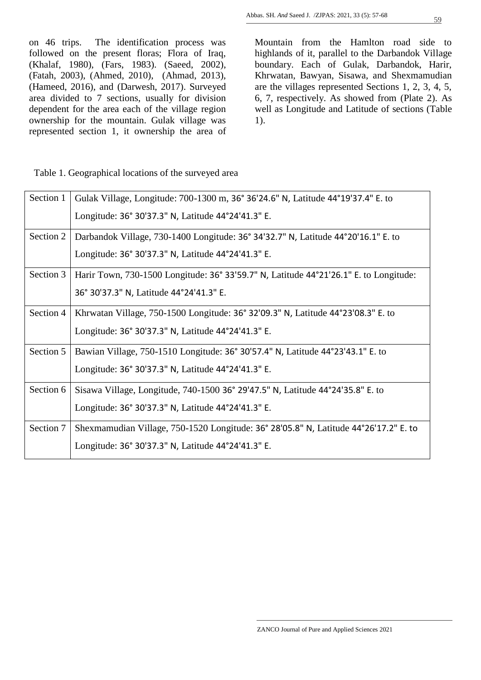on 46 trips. The identification process was followed on the present floras; Flora of Iraq, (Khalaf, 1980), (Fars, 1983). (Saeed, 2002), (Fatah, 2003), (Ahmed, 2010), (Ahmad, 2013), (Hameed, 2016), and (Darwesh, 2017). Surveyed area divided to 7 sections, usually for division dependent for the area each of the village region ownership for the mountain. Gulak village was represented section 1, it ownership the area of Mountain from the Hamlton road side to highlands of it, parallel to the Darbandok Village boundary. Each of Gulak, Darbandok, Harir, Khrwatan, Bawyan, Sisawa, and Shexmamudian are the villages represented Sections 1, 2, 3, 4, 5, 6, 7, respectively. As showed from (Plate 2). As well as Longitude and Latitude of sections (Table 1).

Table 1. Geographical locations of the surveyed area

| Section 1 | Gulak Village, Longitude: 700-1300 m, 36° 36'24.6" N, Latitude 44°19'37.4" E. to      |  |
|-----------|---------------------------------------------------------------------------------------|--|
|           | Longitude: 36° 30'37.3" N, Latitude 44°24'41.3" E.                                    |  |
| Section 2 | Darbandok Village, 730-1400 Longitude: 36° 34'32.7" N, Latitude 44°20'16.1" E. to     |  |
|           | Longitude: 36° 30'37.3" N, Latitude 44°24'41.3" E.                                    |  |
| Section 3 | Harir Town, 730-1500 Longitude: 36° 33'59.7" N, Latitude 44°21'26.1" E. to Longitude: |  |
|           | 36° 30'37.3" N, Latitude 44°24'41.3" E.                                               |  |
| Section 4 | Khrwatan Village, 750-1500 Longitude: 36° 32′ 09.3″ N, Latitude 44° 23′ 08.3″ E. to   |  |
|           | Longitude: 36° 30'37.3" N, Latitude 44°24'41.3" E.                                    |  |
| Section 5 | Bawian Village, 750-1510 Longitude: 36° 30'57.4" N, Latitude 44°23'43.1" E. to        |  |
|           | Longitude: 36° 30'37.3" N, Latitude 44°24'41.3" E.                                    |  |
| Section 6 | Sisawa Village, Longitude, 740-1500 36° 29'47.5" N, Latitude 44°24'35.8" E. to        |  |
|           | Longitude: 36° 30'37.3" N, Latitude 44°24'41.3" E.                                    |  |
| Section 7 | Shexmamudian Village, 750-1520 Longitude: 36° 28′05.8″ N, Latitude 44°26′17.2″ E. to  |  |
|           | Longitude: 36° 30'37.3" N, Latitude 44°24'41.3" E.                                    |  |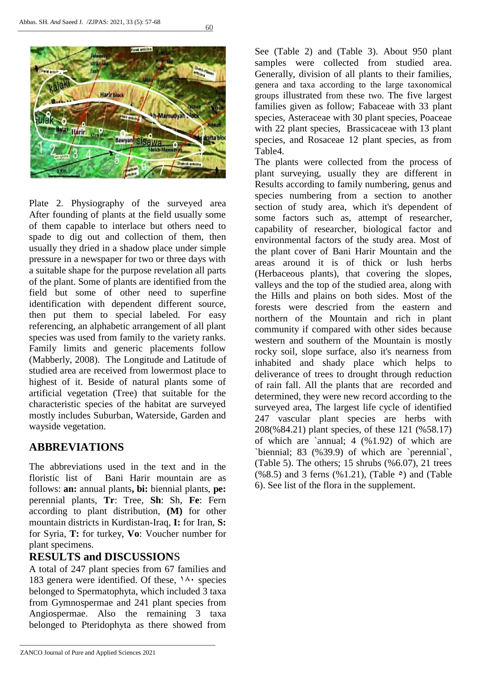



Plate 2. Physiography of the surveyed area After founding of plants at the field usually some of them capable to interlace but others need to spade to dig out and collection of them, then usually they dried in a shadow place under simple pressure in a newspaper for two or three days with a suitable shape for the purpose revelation all parts of the plant. Some of plants are identified from the field but some of other need to superfine identification with dependent different source, then put them to special labeled. For easy referencing, an alphabetic arrangement of all plant species was used from family to the variety ranks. Family limits and generic placements follow (Mabberly, 2008). The Longitude and Latitude of studied area are received from lowermost place to highest of it. Beside of natural plants some of artificial vegetation (Tree) that suitable for the characteristic species of the habitat are surveyed mostly includes Suburban, Waterside, Garden and wayside vegetation.

## **ABBREVIATIONS**

The abbreviations used in the text and in the floristic list of Bani Harir mountain are as follows: **an:** annual plants**, bi:** biennial plants, **pe:** perennial plants, **Tr**: Tree, **Sh**: Sh, **Fe**: Fern according to plant distribution, **(M)** for other mountain districts in Kurdistan-Iraq, **I:** for Iran, **S:** for Syria, **T:** for turkey, **Vo**: Voucher number for plant specimens.

### **RESULTS and DISCUSSION**S

A total of 247 plant species from 67 families and 183 genera were identified. Of these,  $14 \cdot$  species belonged to Spermatophyta, which included 3 taxa from Gymnospermae and 241 plant species from Angiospermae. Also the remaining 3 taxa belonged to Pteridophyta as there showed from

See (Table 2) and (Table 3). About 950 plant samples were collected from studied area. Generally, division of all plants to their families, genera and taxa according to the large taxonomical groups illustrated from these two. The five largest families given as follow; Fabaceae with 33 plant species, Asteraceae with 30 plant species, Poaceae with 22 plant species. Brassicaceae with 13 plant species, and Rosaceae 12 plant species, as from Table4.

The plants were collected from the process of plant surveying, usually they are different in Results according to family numbering, genus and species numbering from a section to another section of study area, which it's dependent of some factors such as, attempt of researcher, capability of researcher, biological factor and environmental factors of the study area. Most of the plant cover of Bani Harir Mountain and the areas around it is of thick or lush herbs (Herbaceous plants), that covering the slopes, valleys and the top of the studied area, along with the Hills and plains on both sides. Most of the forests were descried from the eastern and northern of the Mountain and rich in plant community if compared with other sides because western and southern of the Mountain is mostly rocky soil, slope surface, also it's nearness from inhabited and shady place which helps to deliverance of trees to drought through reduction of rain fall. All the plants that are recorded and determined, they were new record according to the surveyed area, The largest life cycle of identified 247 vascular plant species are herbs with 208(%84.21) plant species, of these 121 (%58.17) of which are `annual; 4 (%1.92) of which are `biennial; 83 (%39.9) of which are `perennial`, (Table 5). The others;  $15$  shrubs (%6.07),  $21$  trees  $(\%8.5)$  and 3 ferns  $(\%1.21)$ , (Table  $\circ$ ) and (Table 6). See list of the flora in the supplement.

ZANCO Journal of Pure and Applied Sciences 2021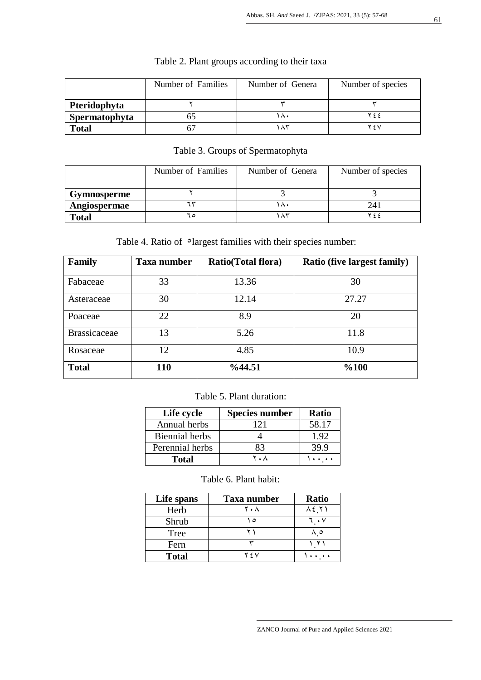|               | Number of Families | Number of Genera | Number of species |
|---------------|--------------------|------------------|-------------------|
| Pteridophyta  |                    |                  |                   |
| Spermatophyta |                    | $\Lambda$        |                   |
| <b>Total</b>  | n                  | ۸۳.              | 75 V              |

## Table 2. Plant groups according to their taxa

## Table 3. Groups of Spermatophyta

|              | Number of Families | Number of Genera | Number of species |
|--------------|--------------------|------------------|-------------------|
| Gymnosperme  |                    |                  |                   |
| Angiospermae |                    | ∧٠               | $24^{\circ}$      |
| <b>Total</b> | ٦٥                 |                  | ۲۶۶               |

Table 4. Ratio of  $\circ$  largest families with their species number:

| Family              | Taxa number | Ratio(Total flora) | <b>Ratio (five largest family)</b> |
|---------------------|-------------|--------------------|------------------------------------|
| Fabaceae            | 33          | 13.36              | 30                                 |
| Asteraceae          | 30          | 12.14              | 27.27                              |
| Poaceae             | 22          | 8.9                | 20                                 |
| <b>Brassicaceae</b> | 13          | 5.26               | 11.8                               |
| Rosaceae            | 12          | 4.85               | 10.9                               |
| <b>Total</b>        | 110         | %44.51             | %100                               |

#### Table 5. Plant duration:

| Life cycle            | <b>Species number</b> | <b>Ratio</b> |
|-----------------------|-----------------------|--------------|
| Annual herbs          | 121                   | 58.17        |
| <b>Biennial</b> herbs |                       | 1.92         |
| Perennial herbs       | 83                    | 39.9         |
| <b>Total</b>          | 7. A                  |              |

Table 6. Plant habit:

| Life spans   | <b>Taxa number</b> | <b>Ratio</b> |
|--------------|--------------------|--------------|
| Herb         | ۲۰۸                | ハモ YI        |
| Shrub        | ٥                  |              |
| Tree         |                    |              |
| Fern         |                    |              |
| <b>Total</b> | 75 V               |              |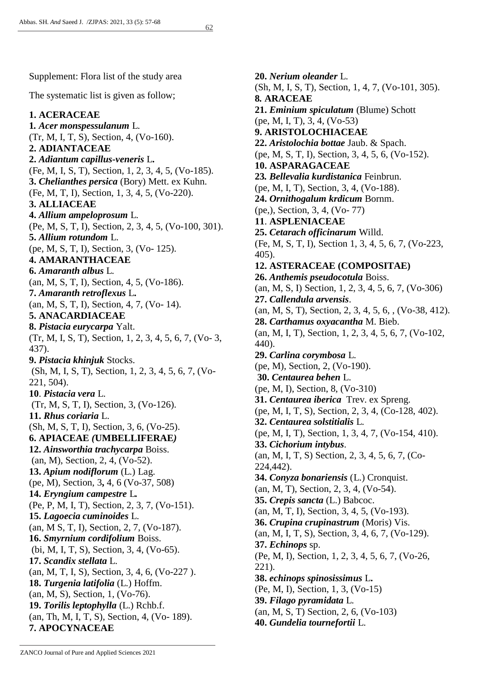Supplement: Flora list of the study area

The systematic list is given as follow;

#### **1. ACERACEAE 1***. Acer monspessulanum* L. (Tr, M, I, T, S), Section, 4, (Vo-160). **2. ADIANTACEAE 2.** *Adiantum capillus-veneris* L**.** (Fe, M, I, S, T), Section, 1, 2, 3, 4, 5, (Vo-185). **3.** *Chelianthes persica* (Bory) Mett. ex Kuhn. (Fe, M, T, I), Section, 1, 3, 4, 5, (Vo-220). **3. ALLIACEAE 4.** *Allium ampeloprosum* L. (Pe, M, S, T, I), Section, 2, 3, 4, 5, (Vo-100, 301). **5.** *Allium rotundom* L. (pe, M, S, T, I), Section, 3, (Vo- 125). **4. AMARANTHACEAE 6.** *Amaranth albus* L. (an, M, S, T, I), Section, 4, 5, (Vo-186). **7.** *Amaranth retroflexus* L**.** (an, M, S, T, I), Section, 4, 7, (Vo- 14). **5. ANACARDIACEAE 8.** *Pistacia eurycarpa* Yalt. (Tr, M, I, S, T), Section, 1, 2, 3, 4, 5, 6, 7, (Vo- 3, 437). **9.** *Pistacia khinjuk* Stocks. (Sh, M, I, S, T), Section, 1, 2, 3, 4, 5, 6, 7, (Vo-221, 504). **10**. *Pistacia vera* L. (Tr, M, S, T, I), Section, 3, (Vo-126). **11.** *Rhus coriaria* L. (Sh, M, S, T, I), Section, 3, 6, (Vo-25). **6. APIACEAE** *(***UMBELLIFERAE***)* **12.** *Ainsworthia trachycarpa* Boiss. (an, M), Section, 2, 4, (Vo-52). **13.** *Apium nodiflorum* (L.) Lag. (pe, M), Section, 3**,** 4, 6 (Vo-37, 508) **14.** *Eryngium campestre* L*.* (Pe, P, M, I, T), Section, 2, 3, 7, (Vo-151). **15.** *Lagoecia cuminoides* L. (an, M S, T, I), Section, 2, 7, (Vo-187). **16.** *Smyrnium cordifolium* Boiss. (bi, M, I, T, S), Section, 3, 4, (Vo-65). **17.** *Scandix stellata* L. (an, M, T, I, S), Section, 3, 4, 6, (Vo-227 ). **18.** *Turgenia latifolia* (L.) Hoffm. (an, M, S), Section, 1, (Vo-76). **19.** *Torilis leptophylla* (L.) Rchb.f. (an, Th, M, I, T, S), Section, 4, (Vo- 189).

**7. APOCYNACEAE**

**20.** *Nerium oleander* L. (Sh, M, I, S, T), Section, 1, 4, 7, (Vo-101, 305). **8***.* **ARACEAE 21.** *Eminium spiculatum* (Blume) Schott (pe, M, I, T), 3, 4, (Vo-53) **9. ARISTOLOCHIACEAE 22.** *Aristolochia bottae* Jaub. & Spach. (pe, M, S, T, I), Section, 3, 4, 5, 6, (Vo-152). **10. ASPARAGACEAE 23***. Bellevalia kurdistanica* Feinbrun. (pe, M, I, T), Section, 3, 4, (Vo-188). **24.** *Ornithogalum krdicum* Bornm. (pe,), Section, 3, 4, (Vo- 77) **11**. **ASPLENIACEAE 25.** *Cetarach officinarum* Willd. (Fe, M, S, T, I), Section 1, 3, 4, 5, 6, 7, (Vo-223, 405). **12. ASTERACEAE (COMPOSITAE) 26.** *Anthemis pseudocotula* Boiss. (an, M, S, I) Section, 1, 2, 3, 4, 5, 6, 7, (Vo-306) **27.** *Callendula arvensis*. (an, M, S, T), Section, 2, 3, 4, 5, 6, , (Vo-38, 412). **28.** *Carthamus oxyacantha* M. Bieb. (an, M, I, T), Section, 1, 2, 3, 4, 5, 6, 7, (Vo-102, 440). **29.** *Carlina corymbosa* L. (pe, M), Section, 2, (Vo-190). **30.** *Centaurea behen* L. (pe, M, I), Section, 8, (Vo-310) **31.** *Centaurea iberica* Trev. ex Spreng. (pe, M, I, T, S), Section, 2, 3, 4, (Co-128, 402). **32.** *Centaurea solstitialis* L. (pe, M, I, T), Section, 1, 3, 4, 7, (Vo-154, 410). **33.** *Cichorium intybus*. (an, M, I, T, S) Section, 2, 3, 4, 5, 6, 7, (Co-224,442). **34.** *Conyza bonariensis* (L.) Cronquist. (an, M, T), Section, 2, 3, 4, (Vo-54). **35.** *Crepis sancta* (L.) Babcoc. (an, M, T, I), Section, 3, 4, 5, (Vo-193). **36.** *Crupina crupinastrum* (Moris) Vis. (an, M, I, T, S), Section, 3, 4, 6, 7, (Vo-129). **37.** *Echinops* sp. (Pe, M, I), Section, 1, 2, 3, 4, 5, 6, 7, (Vo-26, 221). **38.** *echinops spinosissimus* L**.** (Pe, M, I), Section, 1, 3, (Vo-15) **39.** *Filago pyramidata* L. (an, M, S, T) Section, 2, 6, (Vo-103) **40.** *Gundelia tournefortii* L.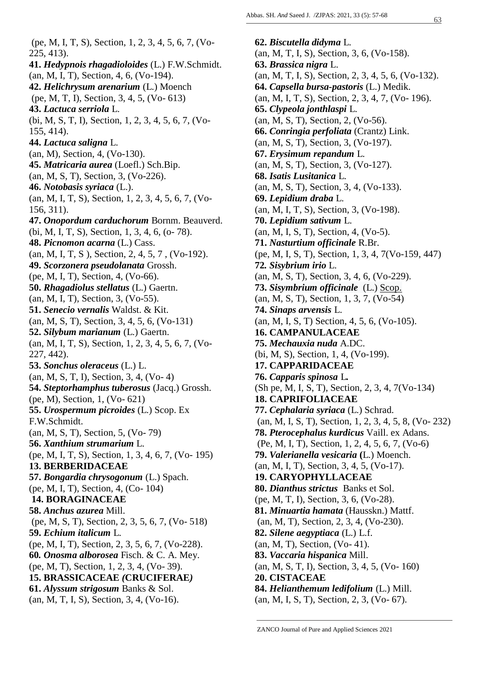(pe, M, I, T, S), Section, 1, 2, 3, 4, 5, 6, 7, (Vo-225, 413). **41.** *Hedypnois rhagadioloides* (L.) F.W.Schmidt. (an, M, I, T), Section, 4, 6, (Vo-194). **42.** *Helichrysum arenarium* (L.) Moench (pe, M, T, I), Section, 3, 4, 5, (Vo- 613) **43.** *Lactuca serriola* L. (bi, M, S, T, I), Section, 1, 2, 3, 4, 5, 6, 7, (Vo-155, 414). **44.** *Lactuca saligna* L. (an, M), Section, 4, (Vo-130). **45.** *Matricaria aurea* (Loefl.) Sch.Bip. (an, M, S, T), Section, 3, (Vo-226). **46.** *Notobasis syriaca* (L.). (an, M, I, T, S), Section, 1, 2, 3, 4, 5, 6, 7, (Vo-156, 311). **47.** *Onopordum carduchorum* Bornm. Beauverd. (bi, M, I, T, S), Section, 1, 3, 4, 6, (o- 78). **48.** *Picnomon acarna* (L.) Cass. (an, M, I, T, S ), Section, 2, 4, 5, 7 , (Vo-192). **49.** *Scorzonera pseudolanata* Grossh. (pe, M, I, T), Section, 4, (Vo-66). **50.** *Rhagadiolus stellatus* (L.) Gaertn. (an, M, I, T), Section, 3, (Vo-55). **51.** *Senecio vernalis* Waldst. & Kit. (an, M, S, T), Section, 3, 4, 5, 6, (Vo-131) **52.** *Silybum marianum* (L.) Gaertn. (an, M, I, T, S), Section, 1, 2, 3, 4, 5, 6, 7, (Vo-227, 442). **53.** *Sonchus oleraceus* (L.) L. (an, M, S, T, I), Section, 3, 4, (Vo- 4) **54.** *Steptorhamphus tuberosus* (Jacq.) Grossh. (pe, M), Section, 1, (Vo- 621) **55.** *Urospermum picroides* (L.) Scop. Ex F.W.Schmidt. (an, M, S, T), Section, 5, (Vo- 79) **56.** *Xanthium strumarium* L. (pe, M, I, T, S), Section, 1, 3, 4, 6, 7, (Vo- 195) **13. BERBERIDACEAE 57.** *Bongardia chrysogonum* (L.) Spach. (pe, M, I, T), Section, 4, (Co- 104) **14. BORAGINACEAE 58.** *Anchus azurea* Mill. (pe, M, S, T), Section, 2, 3, 5, 6, 7, (Vo- 518) **59.** *Echium italicum* L. (pe, M, I, T), Section, 2, 3, 5, 6, 7, (Vo-228). **60***. Onosma alborosea* Fisch. & C. A. Mey. (pe, M, T), Section, 1, 2, 3, 4, (Vo- 39). **15. BRASSICACEAE** *(***CRUCIFERAE***)* **61.** *Alyssum strigosum* Banks & Sol. (an, M, T, I, S), Section, 3, 4, (Vo-16).

**62.** *Biscutella didyma* L. (an, M, T, I, S), Section, 3, 6, (Vo-158). **63.** *Brassica nigra* L. (an, M, T, I, S), Section, 2, 3, 4, 5, 6, (Vo-132). **64.** *Capsella bursa-pastoris* (L.) Medik. (an, M, I, T, S), Section, 2, 3, 4, 7, (Vo- 196). **65.** *Clypeola jonthlaspi* L. (an, M, S, T), Section, 2, (Vo-56). **66.** *Conringia perfoliata* (Crantz) Link. (an, M, S, T), Section, 3, (Vo-197). **67.** *Erysimum repandum* L. (an, M, S, T), Section, 3, (Vo-127). **68.** *Isatis Lusitanica* L. (an, M, S, T), Section, 3, 4, (Vo-133). **69.** *Lepidium draba* L. (an, M, I, T, S), Section, 3, (Vo-198). **70.** *Lepidium sativum* L. (an, M, I, S, T), Section, 4, (Vo-5). **71.** *Nasturtium officinale* R.Br. (pe, M, I, S, T), Section, 1, 3, 4, 7(Vo-159, 447) **72***. Sisybrium irio* L. (an, M, S, T), Section, 3, 4, 6, (Vo-229). **73.** *Sisymbrium officinale* [\(L.\)](https://en.wikipedia.org/wiki/Carl_Linnaeus) [Scop.](https://en.wikipedia.org/wiki/Giovanni_Antonio_Scopoli) (an, M, S, T), Section, 1, 3, 7, (Vo-54) **74.** *Sinaps arvensis* L. (an, M, I, S, T) Section, 4, 5, 6, (Vo-105). **16. CAMPANULACEAE 75.** *Mechauxia nuda* A.DC. (bi, M, S), Section, 1, 4, (Vo-199). **17. CAPPARIDACEAE 76.** *Capparis spinosa* L*.* (Sh pe, M, I, S, T), Section, 2, 3, 4, 7(Vo-134) **18. CAPRIFOLIACEAE 77.** *Cephalaria syriaca* (L.) Schrad. (an, M, I, S, T), Section, 1, 2, 3, 4, 5, 8, (Vo- 232) **78.** *Pterocephalus kurdicus* Vaill. ex Adans. (Pe, M, I, T), Section, 1, 2, 4, 5, 6, 7, (Vo-6) **79.** *Valerianella vesicaria* **(**L.) Moench. (an, M, I, T), Section, 3, 4, 5, (Vo-17). **19. CARYOPHYLLACEAE 80.** *Dianthus strictus* Banks et Sol. (pe, M, T, I), Section, 3, 6, (Vo-28). **81.** *Minuartia hamata* (Hausskn.) Mattf. (an, M, T), Section, 2, 3, 4, (Vo-230). **82.** *Silene aegyptiaca* (L.) L.f. (an, M, T), Section, (Vo- 41). **83.** *Vaccaria hispanica* Mill. (an, M, S, T, I), Section, 3, 4, 5, (Vo- 160) **20. CISTACEAE 84.** *Helianthemum ledifolium* (L.) Mill. (an, M, I, S, T), Section, 2, 3, (Vo- 67).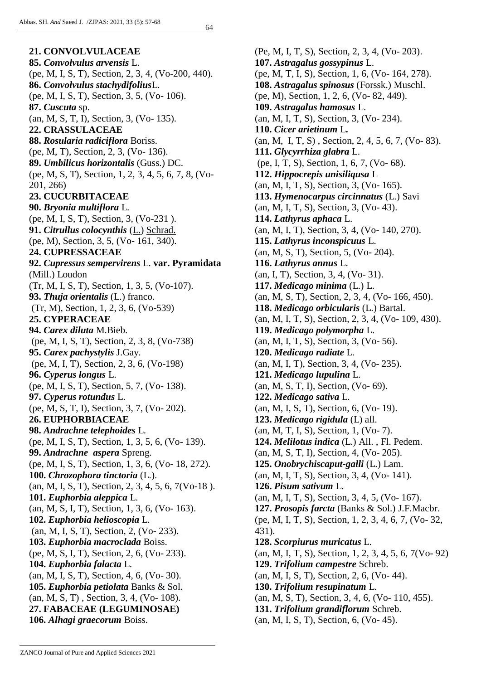**21. CONVOLVULACEAE 85.** *Convolvulus arvensis* L. (pe, M, I, S, T), Section, 2, 3, 4, (Vo-200, 440). **86.** *Convolvulus stachydifolius*L. (pe, M, I, S, T), Section, 3, 5, (Vo- 106). **87.** *Cuscuta* sp. (an, M, S, T, I), Section, 3, (Vo- 135). **22. CRASSULACEAE 88.** *Rosularia radiciflora* Boriss. (pe, M, T), Section, 2, 3, (Vo- 136). **89.** *Umbilicus horizontalis* (Guss.) DC. (pe, M, S, T), Section, 1, 2, 3, 4, 5, 6, 7, 8, (Vo-201, 266) **23. CUCURBITACEAE 90.** *Bryonia multiflora* L. (pe, M, I, S, T), Section, 3, (Vo-231 ). **91.** *Citrullus colocynthis* [\(L.\)](https://en.wikipedia.org/wiki/Carl_Linnaeus) [Schrad.](https://en.wikipedia.org/wiki/Heinrich_Adolph_Schrader) (pe, M), Section, 3, 5, (Vo- 161, 340). **24. CUPRESSACEAE 92.** *Cupressus sempervirens* L. **var. Pyramidata** (Mill.) Loudon (Tr, M, I, S, T), Section, 1, 3, 5, (Vo-107). **93.** *Thuja orientalis* (L.) franco. (Tr, M), Section, 1, 2, 3, 6, (Vo-539) **25. CYPERACEAE 94.** *Carex diluta* M.Bieb. (pe, M, I, S, T), Section, 2, 3, 8, (Vo-738) **95.** *Carex pachystylis* J.Gay. (pe, M, I, T), Section, 2, 3, 6, (Vo-198) **96.** *Cyperus longus* L. (pe, M, I, S, T), Section, 5, 7, (Vo- 138). **97.** *Cyperus rotundus* L. (pe, M, S, T, I), Section, 3, 7, (Vo- 202). **26. EUPHORBIACEAE 98.** *Andrachne telephoides* L. (pe, M, I, S, T), Section, 1, 3, 5, 6, (Vo- 139). **99.** *Andrachne aspera* Spreng. (pe, M, I, S, T), Section, 1, 3, 6, (Vo- 18, 272). **100.** *Chrozophora tinctoria* (L.). (an, M, I, S, T), Section, 2, 3, 4, 5, 6, 7(Vo-18 ). **101.** *Euphorbia aleppica* L. (an, M, S, I, T), Section, 1, 3, 6, (Vo- 163). **102.** *Euphorbia helioscopia* L. (an, M, I, S, T), Section, 2, (Vo- 233). **103.** *Euphorbia macroclada* Boiss. (pe, M, S, I, T), Section, 2, 6, (Vo- 233). **104.** *Euphorbia falacta* L. (an, M, I, S, T), Section, 4, 6, (Vo- 30). **105.** *Euphorbia petiolata* [Banks](https://war.m.wikipedia.org/w/index.php?title=Joseph_Banks&action=edit&redlink=1) & [Sol.](https://war.m.wikipedia.org/w/index.php?title=Daniel_Solander&action=edit&redlink=1) (an, M, S, T) , Section, 3, 4, (Vo- 108). **27. FABACEAE (LEGUMINOSAE) 106.** *Alhagi graecorum* Boiss.

(Pe, M, I, T, S), Section, 2, 3, 4, (Vo- 203). **107.** *Astragalus gossypinus* L. (pe, M, T, I, S), Section, 1, 6, (Vo- 164, 278). **108.** *Astragalus spinosus* (Forssk.) Muschl. (pe, M), Section, 1, 2, 6, (Vo- 82, 449). **109.** *Astragalus hamosus* L. (an, M, I, T, S), Section, 3, (Vo- 234). **110.** *Cicer arietinum* L**.** (an, M, I, T, S) , Section, 2, 4, 5, 6, 7, (Vo- 83). **111.** *Glycyrrhiza glabra* L. (pe, I, T, S), Section, 1, 6, 7, (Vo- 68). **112.** *Hippocrepis unisiliqusa* L (an, M, I, T, S), Section, 3, (Vo- 165). **113.** *Hymenocarpus circinnatus* (L.) Savi (an, M, I, T, S), Section, 3, (Vo- 43). **114.** *Lathyrus aphaca* L. (an, M, I, T), Section, 3, 4, (Vo- 140, 270). **115.** *Lathyrus inconspicuus* L. (an, M, S, T), Section, 5, (Vo- 204). **116.** *Lathyrus annus* L. (an, I, T), Section, 3, 4, (Vo- 31). **117.** *Medicago minima* (L.) L. (an, M, S, T), Section, 2, 3, 4, (Vo- 166, 450). **118.** *Medicago orbicularis* (L.) Bartal. (an, M, I, T, S), Section, 2, 3, 4, (Vo- 109, 430). **119.** *Medicago polymorpha* L. (an, M, I, T, S), Section, 3, (Vo- 56). **120.** *Medicago radiate* L. (an, M, I, T), Section, 3, 4, (Vo- 235). **121.** *Medicago lupulina* L. (an, M, S, T, I), Section, (Vo- 69). **122.** *Medicago sativa* L. (an, M, I, S, T), Section, 6, (Vo- 19). **123.** *Medicago rigidula* (L) all. (an, M, T, I, S), Section, 1, (Vo- 7). **124.** *Melilotus indica* (L.) All. , Fl. Pedem. (an, M, S, T, I), Section, 4, (Vo- 205). **125.** *Onobrychiscaput-galli* (L.) Lam. (an, M, I, T, S), Section, 3, 4, (Vo- 141). **126.** *Pisum sativum* L. (an, M, I, T, S), Section, 3, 4, 5, (Vo- 167). **127.** *Prosopis farcta* (Banks & Sol.) J.F.Macbr. (pe, M, I, T, S), Section, 1, 2, 3, 4, 6, 7, (Vo- 32, 431). **128.** *Scorpiurus muricatus* L. (an, M, I, T, S), Section, 1, 2, 3, 4, 5, 6, 7(Vo- 92) **129.** *Trifolium campestre* Schreb. (an, M, I, S, T), Section, 2, 6, (Vo- 44). **130.** *Trifolium resupinatum* L. (an, M, S, T), Section, 3, 4, 6, (Vo- 110, 455). **131.** *Trifolium grandiflorum* Schreb. (an, M, I, S, T), Section, 6, (Vo- 45).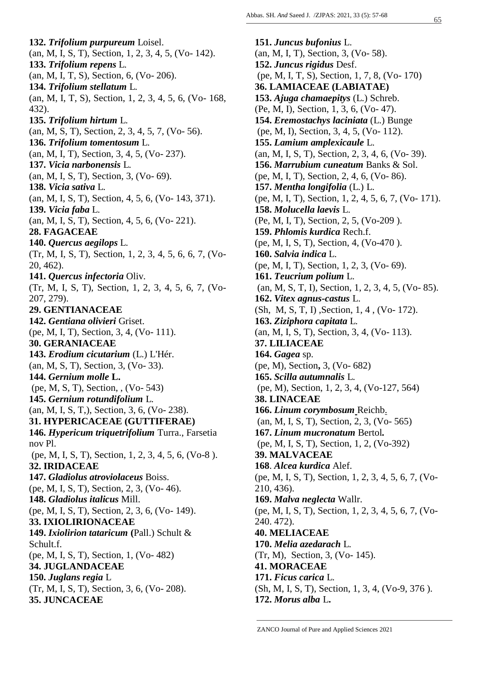**132.** *Trifolium purpureum* Loisel. (an, M, I, S, T), Section, 1, 2, 3, 4, 5, (Vo- 142). **133.** *Trifolium repens* L. (an, M, I, T, S), Section, 6, (Vo- 206). **134.** *Trifolium stellatum* L. (an, M, I, T, S), Section, 1, 2, 3, 4, 5, 6, (Vo- 168, 432). **135.** *Trifolium hirtum* L. (an, M, S, T), Section, 2, 3, 4, 5, 7, (Vo- 56). **136.** *Trifolium tomentosum* L. (an, M, I, T), Section, 3, 4, 5, (Vo- 237). **137.** *Vicia narbonensis* L. (an, M, I, S, T), Section, 3, (Vo- 69). **138.** *Vicia sativa* L. (an, M, I, S, T), Section, 4, 5, 6, (Vo- 143, 371). **139.** *Vicia faba* L. (an, M, I, S, T), Section, 4, 5, 6, (Vo- 221). **28. FAGACEAE 140.** *Quercus aegilops* L. (Tr, M, I, S, T), Section, 1, 2, 3, 4, 5, 6, 6, 7, (Vo-20, 462). **141.** *Quercus infectoria* Oliv. (Tr, M, I, S, T), Section, 1, 2, 3, 4, 5, 6, 7, (Vo-207, 279). **29. GENTIANACEAE 142.** *Gentiana olivieri* Griset. (pe, M, I, T), Section, 3, 4, (Vo- 111). **30. GERANIACEAE 143.** *Erodium cicutarium* (L.) L'Hér. (an, M, S, T), Section, 3, (Vo- 33). **144.** *Gernium molle* **L.** (pe, M, S, T), Section, , (Vo- 543) **145.** *Gernium rotundifolium* L. (an, M, I, S, T,), Section, 3, 6, (Vo- 238). **31. HYPERICACEAE (GUTTIFERAE) 146.** *Hypericum triquetrifolium* Turra., Farsetia nov Pl. (pe, M, I, S, T), Section, 1, 2, 3, 4, 5, 6, (Vo-8 ). **32. IRIDACEAE 147.** *Gladiolus atroviolaceus* Boiss. (pe, M, I, S, T), Section, 2, 3, (Vo- 46). **148.** *Gladiolus italicus* [Mill.](https://en.wikipedia.org/wiki/Philip_Miller) (pe, M, I, S, T), Section, 2, 3, 6, (Vo- 149). **33. IXIOLIRIONACEAE 149.** *Ixiolirion tataricum* **(**[Pall.\)](https://en.wikipedia.org/wiki/Pall.) Schult & Schult.f. (pe, M, I, S, T), Section, 1, (Vo- 482) **34. JUGLANDACEAE 150.** *Juglans regia* L (Tr, M, I, S, T), Section, 3, 6, (Vo- 208). **35. JUNCACEAE** 

**151.** *Juncus bufonius* L. (an, M, I, T), Section, 3, (Vo- 58). **152.** *Juncus rigidus* Desf. (pe, M, I, T, S), Section, 1, 7, 8, (Vo- 170) **36. LAMIACEAE (LABIATAE) 153.** *Ajuga chamaepitys* (L.) Schreb. (Pe, M, I), Section, 1, 3, 6, (Vo- 47). **154.** *Eremostachys laciniata* (L.) Bunge (pe, M, I), Section, 3, 4, 5, (Vo- 112). **155.** *Lamium amplexicaule* L. (an, M, I, S, T), Section, 2, 3, 4, 6, (Vo- 39). **156.** *Marrubium cuneatum* Banks & Sol. (pe, M, I, T), Section, 2, 4, 6, (Vo- 86). **157.** *Mentha longifolia* (L.) L. (pe, M, I, T), Section, 1, 2, 4, 5, 6, 7, (Vo- 171). **158.** *Molucella laevis* L. (Pe, M, I, T), Section, 2, 5, (Vo-209 ). **159.** *Phlomis kurdica* Rech.f. (pe, M, I, S, T), Section, 4, (Vo-470 ). **160.** *Salvia indica* L. (pe, M, I, T), Section, 1, 2, 3, (Vo- 69). **161.** *Teucrium polium* L. (an, M, S, T, I), Section, 1, 2, 3, 4, 5, (Vo- 85). **162.** *Vitex agnus-castus* [L.](https://en.wikipedia.org/wiki/Carl_Linnaeus)  (Sh, M, S, T, I) ,Section, 1, 4 , (Vo- 172). **163.** *Ziziphora capitata* L. (an, M, I, S, T), Section, 3, 4, (Vo- 113). **37. LILIACEAE 164.** *Gagea* sp. (pe, M), Section**,** 3, (Vo- 682) **165.** *Scilla autumnalis* L. (pe, M), Section, 1, 2, 3, 4, (Vo-127, 564) **38. LINACEAE 166.** *Linum [corymbosum](https://science.mnhn.fr/taxon/species/linum/corymbosum#rchb.)* Reichb. (an, M, I, S, T), Section, 2, 3, (Vo- 565) **167.** *Linum mucronatum* Bertol*.* (pe, M, I, S, T), Section, 1, 2, (Vo-392) **39. MALVACEAE 168**. *Alcea kurdica* Alef. (pe, M, I, S, T), Section, 1, 2, 3, 4, 5, 6, 7, (Vo-210, 436). **169.** *Malva neglecta* Wallr. (pe, M, I, S, T), Section, 1, 2, 3, 4, 5, 6, 7, (Vo-240. 472). **40. MELIACEAE 170.** *Melia azedarach* L. (Tr, M), Section, 3, (Vo- 145). **41. MORACEAE 171.** *Ficus carica* L. (Sh, M, I, S, T), Section, 1, 3, 4, (Vo-9, 376 ). **172.** *Morus alba* L**.**

ZANCO Journal of Pure and Applied Sciences 2021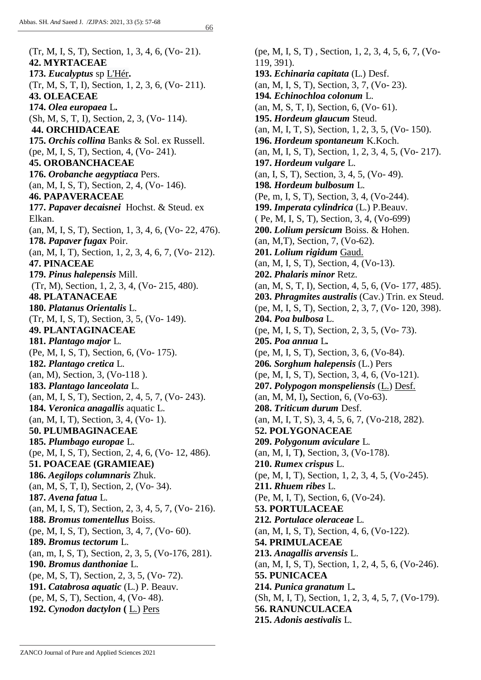66

(Tr, M, I, S, T), Section, 1, 3, 4, 6, (Vo- 21). **42. MYRTACEAE 173.** *Eucalyptus* sp [L'Hér](https://en.wikipedia.org/wiki/Charles_Louis_L%27H%C3%A9ritier_de_Brutelle)**.** (Tr, M, S, T, I), Section, 1, 2, 3, 6, (Vo- 211). **43. OLEACEAE 174.** *Olea europaea* L**.** (Sh, M, S, T, I), Section, 2, 3, (Vo- 114). **44. ORCHIDACEAE 175.** *Orchis collina* Banks & Sol. ex Russell. (pe, M, I, S, T), Section, 4, (Vo- 241). **45. OROBANCHACEAE 176.** *Orobanche aegyptiaca* Pers. (an, M, I, S, T), Section, 2, 4, (Vo- 146). **46. PAPAVERACEAE 177.** *Papaver decaisnei* Hochst. & Steud. ex Elkan. (an, M, I, S, T), Section, 1, 3, 4, 6, (Vo- 22, 476). **178.** *Papaver fugax* Poir. (an, M, I, T), Section, 1, 2, 3, 4, 6, 7, (Vo- 212). **47. PINACEAE 179.** *Pinus halepensis* Mill. (Tr, M), Section, 1, 2, 3, 4, (Vo- 215, 480). **48. PLATANACEAE 180.** *Platanus Orientalis* L. (Tr, M, I, S, T), Section, 3, 5, (Vo- 149). **49. PLANTAGINACEAE 181.** *Plantago major* L. (Pe, M, I, S, T), Section, 6, (Vo- 175). **182.** *Plantago cretica* L. (an, M), Section, 3, (Vo-118 ). **183.** *Plantago lanceolata* L. (an, M, I, S, T), Section, 2, 4, 5, 7, (Vo- 243). **184.** *Veronica anagallis* aquatic L. (an, M, I, T), Section, 3, 4, (Vo- 1). **50. PLUMBAGINACEAE 185.** *Plumbago europae* L. (pe, M, I, S, T), Section, 2, 4, 6, (Vo- 12, 486). **51. POACEAE (GRAMIEAE) 186.** *Aegilops columnaris* Zhuk. (an, M, S, T, I), Section, 2, (Vo- 34). **187.** *Avena fatua* L. (an, M, I, S, T), Section, 2, 3, 4, 5, 7, (Vo- 216). **188.** *Bromus tomentellus* Boiss. (pe, M, I, S, T), Section, 3, 4, 7, (Vo- 60). **189.** *Bromus tectorum* L. (an, m, I, S, T), Section, 2, 3, 5, (Vo-176, 281). **190.** *Bromus danthoniae* L. (pe, M, S, T), Section, 2, 3, 5, (Vo- 72). **191.** *Catabrosa aquatic* (L.) P. Beauv. (pe, M, S, T), Section, 4, (Vo- 48). **192.** *Cynodon dactylon* **(** [L.\)](https://en.wikipedia.org/wiki/Carl_Linnaeus) [Pers](https://en.wikipedia.org/wiki/Christian_Hendrik_Persoon)

(pe, M, I, S, T) , Section, 1, 2, 3, 4, 5, 6, 7, (Vo-119, 391). **193.** *Echinaria capitata* (L.) Desf. (an, M, I, S, T), Section, 3, 7, (Vo- 23). **194***. Echinochloa colonum* L. (an, M, S, T, I), Section, 6, (Vo- 61). **195.** *Hordeum glaucum* Steud. (an, M, I, T, S), Section, 1, 2, 3, 5, (Vo- 150). **196.** *Hordeum spontaneum* K.Koch. (an, M, I, S, T), Section, 1, 2, 3, 4, 5, (Vo- 217). **197.** *Hordeum vulgare* L. (an, I, S, T), Section, 3, 4, 5, (Vo- 49). **198***. Hordeum bulbosum* L. (Pe, m, I, S, T), Section, 3, 4, (Vo-244). **199.** *Imperata cylindrica* (L.) P.Beauv. ( Pe, M, I, S, T), Section, 3, 4, (Vo-699) **200.** *Lolium persicum* Boiss. & Hohen. (an, M,T), Section, 7, (Vo-62). **201.** *Lolium rigidum* [Gaud.](https://en.wikipedia.org/wiki/Charles_Gaudichaud-Beaupr%C3%A9) (an, M, I, S, T), Section, 4, (Vo-13). **202.** *Phalaris minor* Retz. (an, M, S, T, I), Section, 4, 5, 6, (Vo- 177, 485). **203.** *Phragmites australis* (Cav.) Trin. ex Steud. (pe, M, I, S, T), Section, 2, 3, 7, (Vo- 120, 398). **204.** *Poa bulbosa* L. (pe, M, I, S, T), Section, 2, 3, 5, (Vo- 73). **205.** *Poa annua* L*.* (pe, M, I, S, T), Section, 3, 6, (Vo-84). **206***. Sorghum halepensis* (L.) Pers (pe, M, I, S, T), Section, 3, 4, 6, (Vo-121). **207.** *Polypogon monspeliensis* [\(L.\)](https://en.wikipedia.org/wiki/Carolus_Linnaeus) [Desf.](https://en.wikipedia.org/wiki/Ren%C3%A9_Louiche_Desfontaines) (an, M, M, I)**,** Section, 6, (Vo-63). **208.** *Triticum durum* Desf. (an, M, I, T, S), 3, 4, 5, 6, 7, (Vo-218, 282). **52. POLYGONACEAE 209.** *Polygonum aviculare* L. (an, M, I, T**)**, Section, 3, (Vo-178). **210.** *Rumex crispus* L. (pe, M, I, T), Section, 1, 2, 3, 4, 5, (Vo-245). **211.** *Rhuem ribes* L. (Pe, M, I, T), Section, 6, (Vo-24). **53. PORTULACEAE 212***. Portulace oleraceae* L. (an, M, I, S, T), Section, 4, 6, (Vo-122). **54. PRIMULACEAE 213.** *Anagallis arvensis* L. (an, M, I, S, T), Section, 1, 2, 4, 5, 6, (Vo-246). **55. PUNICACEA 214.** *Punica granatum* L**.** (Sh, M, I, T), Section, 1, 2, 3, 4, 5, 7, (Vo-179). **56. RANUNCULACEA 215.** *Adonis aestivalis* L.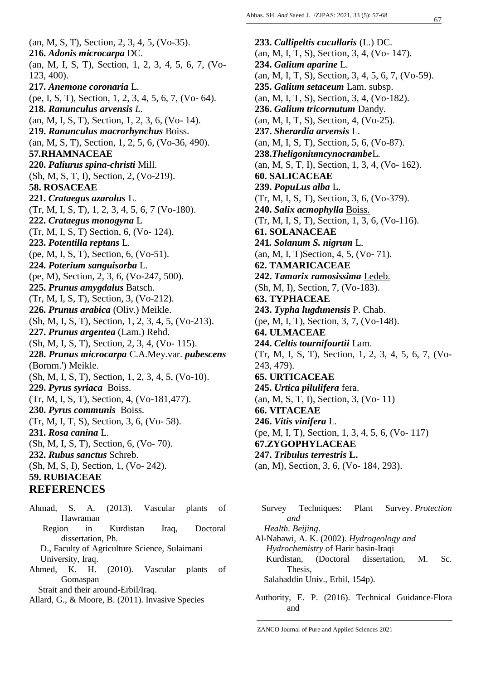(an, M, S, T), Section, 2, 3, 4, 5, (Vo-35). **216.** *Adonis microcarpa* DC. (an, M, I, S, T), Section, 1, 2, 3, 4, 5, 6, 7, (Vo-123, 400). **217.** *Anemone coronaria* L. (pe, I, S, T), Section, 1, 2, 3, 4, 5, 6, 7, (Vo- 64). **218.** *Ranunculus arvensis L*. (an, M, I, S, T), Section, 1, 2, 3, 6, (Vo- 14). **219.** *Ranunculus macrorhynchus* Boiss. (an, M, S, T), Section, 1, 2, 5, 6, (Vo-36, 490). **57***.***RHAMNACEAE 220.** *Paliurus spina-christi* Mill. (Sh, M, S, T, I), Section, 2, (Vo-219). **58. ROSACEAE 221.** *Crataegus azarolus* L. (Tr, M, I, S, T), 1, 2, 3, 4, 5, 6, 7 (Vo-180). **222.** *Crataegus monogyna* L (Tr, M, I, S, T) Section, 6, (Vo- 124). **223.** *Potentilla reptans* L. (pe, M, I, S, T), Section, 6, (Vo-51). **224.** *Poterium sanguisorba* L. (pe, M), Section, 2, 3, 6, (Vo-247, 500). **225.** *Prunus amygdalus* Batsch. (Tr, M, I, S, T), Section, 3, (Vo-212). **226.** *Prunus arabica* (Oliv.) Meikle. (Sh, M, I, S, T), Section, 1, 2, 3, 4, 5, (Vo-213). **227.** *Prunus argentea* (Lam.) Rehd. (Sh, M, I, S, T), Section, 2, 3, 4, (Vo- 115). **228.** *Prunus microcarpa* C.A.Mey.var. *pubescens* (Bornm.') Meikle. (Sh, M, I, S, T), Section, 1, 2, 3, 4, 5, (Vo-10). **229.** *Pyrus syriaca* Boiss. (Tr, M, I, S, T), Section, 4, (Vo-181,477). **230.** *Pyrus communis* Boiss. (Tr, M, I, T, S), Section, 3, 6, (Vo- 58). **231.** *Rosa canina* L. (Sh, M, I, S, T), Section, 6, (Vo- 70). **232.** *Rubus sanctus* Schreb. (Sh, M, S, I), Section, 1, (Vo- 242). **59. RUBIACEAE REFERENCES**

- Ahmad, S. A. (2013). Vascular plants of Hawraman Region in Kurdistan Iraq, Doctoral dissertation, Ph. D., Faculty of Agriculture Science, Sulaimani University, Iraq. Ahmed, K. H. (2010). Vascular plants of
- Gomaspan

Strait and their around-Erbil/Iraq.

Allard, G., & Moore, B. (2011). Invasive Species

**233.** *Callipeltis cucullaris* (L.) DC. (an, M, I, T, S), Section, 3, 4, (Vo- 147). **234.** *Galium aparine* L. (an, M, I, T, S), Section, 3, 4, 5, 6, 7, (Vo-59). **235.** *Galium setaceum* Lam. subsp. (an, M, I, T, S), Section, 3, 4, (Vo-182). **236.** *Galium tricornutum* Dandy. (an, M, I, T, S), Section, 4, (Vo-25). **237.** *Sherardia arvensis* L. (an, M, I, S, T), Section, 5, 6, (Vo-87). **238.***Theligoniumcynocrambe*L. (an, M, S, T, I), Section, 1, 3, 4, (Vo- 162). **60. SALICACEAE 239.** *PopuLus alba* L. (Tr, M, I, S, T), Section, 3, 6, (Vo-379). **240.** *Salix acmophylla* [Boiss.](https://en.wikipedia.org/wiki/Pierre_Edmond_Boissier) (Tr, M, I, S, T), Section, 1, 3, 6, (Vo-116). **61. SOLANACEAE 241***. Solanum S. nigrum* L. (an, M, I, T)Section, 4, 5, (Vo- 71). **62. TAMARICACEAE 242.** *Tamarix ramosissima* [Ledeb.](https://en.wikipedia.org/wiki/Carl_Friedrich_von_Ledebour) (Sh, M, I), Section, 7, (Vo-183). **63. TYPHACEAE 243.** *Typha lugdunensis* P. Chab. (pe, M, I, T), Section, 3, 7, (Vo-148). **64. ULMACEAE 244.** *Celtis tournifourtii* Lam. (Tr, M, I, S, T), Section, 1, 2, 3, 4, 5, 6, 7, (Vo-243, 479). **65. URTICACEAE 245.** *Urtica pilulifera* fera. (an, M, S, T, I), Section, 3, (Vo- 11) **66. VITACEAE 246.** *Vitis vinifera* L. (pe, M, I, T), Section, 1, 3, 4, 5, 6, (Vo- 117) **67.ZYGOPHYLACEAE 247.** *Tribulus terrestris* **L.** (an, M), Section, 3, 6, (Vo- 184, 293).

 Survey Techniques: Plant Survey. *Protection and Health. Beijing*.

Al-Nabawi, A. K. (2002). *Hydrogeology and Hydrochemistry* of Harir basin-Iraqi Kurdistan*,* (Doctoral dissertation, M. Sc. Thesis, Salahaddin Univ., Erbil, 154p).

Authority, E. P. (2016). Technical Guidance-Flora and

ZANCO Journal of Pure and Applied Sciences 2021